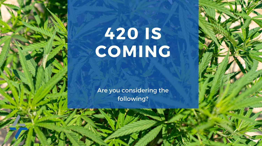# **420 IS COMING**

Are you considering the following?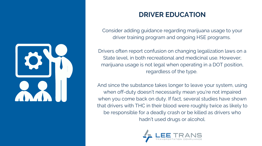

## **DRIVER EDUCATION**

Consider adding guidance regarding marijuana usage to your driver training program and ongoing HSE programs.

Drivers often report confusion on changing legalization laws on a State level, in both recreational and medicinal use. However; marijuana usage is not legal when operating in a DOT position, regardless of the type.

And since the substance takes longer to leave your system, using when off-duty doesn't necessarily mean you're not impaired when you come back on duty. If fact, several studies have shown that drivers with THC in their blood were roughly twice as likely to be responsible for a deadly crash or be killed as drivers who hadn't used drugs or alcohol.

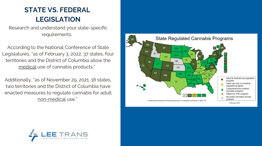# **STATE VS. FEDERAL LEGISLATION**

Research and understand your state-specific requirements.

According to the National Conference of State Legislatures, "as of February 3, 2022, 37 states, four territories and the District of Columbia allow the medical use of cannabis products."

Additionally, "as of November 29, 2021, 18 states, two territories and the District of Columbia have enacted measures to regulate cannabis for adult non-medical use."



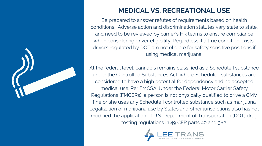

#### **MEDICAL VS. RECREATIONAL USE**

Be prepared to answer refutes of requirements based on health conditions. Adverse action and discrimination statutes vary state to state, and need to be reviewed by carrier's HR teams to ensure compliance when considering driver eligibility. Regardless if a true condition exists, drivers regulated by DOT are not eligible for safety sensitive positions if using medical marijuana.

At the federal level, cannabis remains classified as a Schedule I substance under the Controlled Substances Act, where Schedule I substances are considered to have a high potential for dependency and no accepted medical use. Per FMCSA: Under the Federal Motor Carrier Safety Regulations (FMCSRs), a person is not physically qualified to drive a CMV if he or she uses any Schedule I controlled substance such as marijuana. Legalization of marijuana use by States and other jurisdictions also has not modified the application of U.S. Department of Transportation (DOT) drug testing regulations in 49 CFR parts 40 and 382.

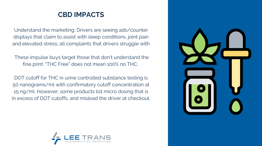## **CBD IMPACTS**

Understand the marketing. Drivers are seeing ads/counter displays that claim to assist with sleep conditions, joint pain and elevated stress; all complaints that drivers struggle with

These impulse buys target those that don't understand the fine print: "THC Free" does not mean 100% no THC.

DOT cutoff for THC in urine controlled substance testing is 50 nanograms/ml with confirmatory cutoff concentration at 15 ng/ml. However; some products list micro dosing that is in excess of DOT cutoffs, and mislead the driver at checkout.



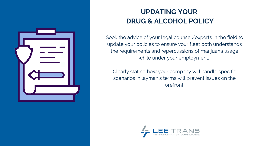

# **UPDATING YOUR DRUG & ALCOHOL POLICY**

Seek the advice of your legal counsel/experts in the field to update your policies to ensure your fleet both understands the requirements and repercussions of marijuana usage while under your employment.

Clearly stating how your company will handle specific scenarios in layman's terms will prevent issues on the forefront.